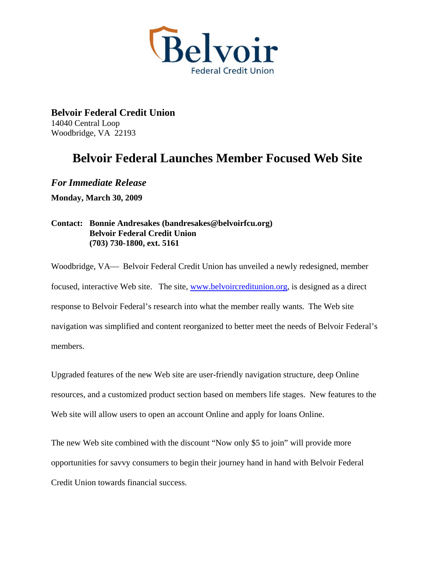

**Belvoir Federal Credit Union**  14040 Central Loop Woodbridge, VA 22193

## **Belvoir Federal Launches Member Focused Web Site**

*For Immediate Release*  **Monday, March 30, 2009** 

## **Contact: Bonnie Andresakes (bandresakes@belvoirfcu.org) Belvoir Federal Credit Union (703) 730-1800, ext. 5161**

Woodbridge, VA— Belvoir Federal Credit Union has unveiled a newly redesigned, member focused, interactive Web site. The site, [www.belvoircreditunion.org,](http://www.belvoircreditunion.org/) is designed as a direct response to Belvoir Federal's research into what the member really wants. The Web site navigation was simplified and content reorganized to better meet the needs of Belvoir Federal's members.

Upgraded features of the new Web site are user-friendly navigation structure, deep Online resources, and a customized product section based on members life stages. New features to the Web site will allow users to open an account Online and apply for loans Online.

The new Web site combined with the discount "Now only \$5 to join" will provide more opportunities for savvy consumers to begin their journey hand in hand with Belvoir Federal Credit Union towards financial success.